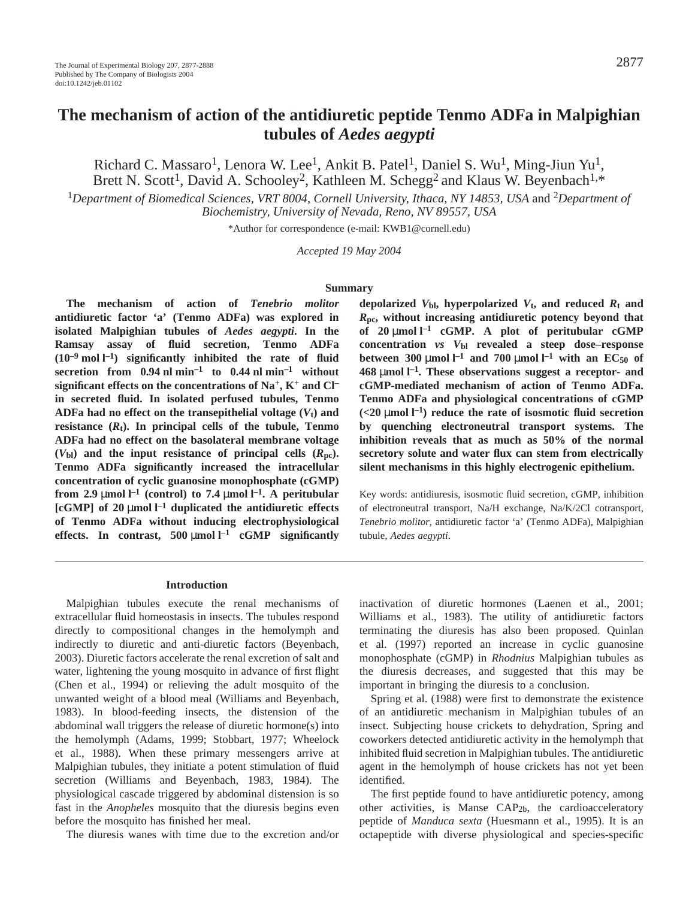# **The mechanism of action of the antidiuretic peptide Tenmo ADFa in Malpighian tubules of** *Aedes aegypti*

Richard C. Massaro<sup>1</sup>, Lenora W. Lee<sup>1</sup>, Ankit B. Patel<sup>1</sup>, Daniel S. Wu<sup>1</sup>, Ming-Jiun Yu<sup>1</sup>, Brett N. Scott<sup>1</sup>, David A. Schooley<sup>2</sup>, Kathleen M. Schegg<sup>2</sup> and Klaus W. Beyenbach<sup>1,\*</sup>

<sup>1</sup>*Department of Biomedical Sciences, VRT 8004, Cornell University, Ithaca, NY 14853, USA* and 2*Department of Biochemistry, University of Nevada, Reno, NV 89557, USA*

\*Author for correspondence (e-mail: KWB1@cornell.edu)

*Accepted 19 May 2004*

#### **Summary**

**The mechanism of action of** *Tenebrio molitor* **antidiuretic factor 'a' (Tenmo ADFa) was explored in isolated Malpighian tubules of** *Aedes aegypti***. In the Ramsay assay of fluid secretion, Tenmo ADFa (10–9·mol·l –1) significantly inhibited the rate of fluid secretion** from  $0.94 \text{ nl min}^{-1}$  **to**  $0.44 \text{ nl min}^{-1}$  without **significant effects on the concentrations of Na+, K+ and Cl– in secreted fluid. In isolated perfused tubules, Tenmo ADFa had no effect on the transepithelial voltage**  $(V_t)$  **and resistance**  $(R_t)$ . In principal cells of the tubule, Tenmo **ADFa had no effect on the basolateral membrane voltage**  $(V_{bl})$  and the input resistance of principal cells  $(R_{pc})$ . **Tenmo ADFa significantly increased the intracellular concentration of cyclic guanosine monophosphate (cGMP) from 2.9** µmol  $l^{-1}$  (control) to 7.4 µmol  $l^{-1}$ . A peritubular  $[{\rm cGMP}]$  of 20  $\mu$ mol  $l^{-1}$  duplicated the antidiuretic effects **of Tenmo ADFa without inducing electrophysiological effects.** In contrast,  $500 \mu \text{mol} \, \text{l}^{-1}$  cGMP significantly

depolarized  $V_{bl}$ , hyperpolarized  $V_t$ , and reduced  $R_t$  and *R***pc, without increasing antidiuretic potency beyond that** of 20  $\mu$ mol l<sup>-1</sup> **cGMP.** A plot of peritubular **cGMP concentration** *vs V***bl revealed a steep dose–response between 300**  $\mu$ mol  $l^{-1}$  and 700  $\mu$ mol  $l^{-1}$  with an EC<sub>50</sub> of **468·**µ**mol·l –1. These observations suggest a receptor- and cGMP-mediated mechanism of action of Tenmo ADFa. Tenmo ADFa and physiological concentrations of cGMP**  $\left($ <20  $\mu$ mol  $l^{-1}$ ) reduce the rate of isosmotic fluid secretion **by quenching electroneutral transport systems. The inhibition reveals that as much as 50% of the normal secretory solute and water flux can stem from electrically silent mechanisms in this highly electrogenic epithelium.**

Key words: antidiuresis, isosmotic fluid secretion, cGMP, inhibition of electroneutral transport, Na/H exchange, Na/K/2Cl cotransport, *Tenebrio molitor*, antidiuretic factor 'a' (Tenmo ADFa), Malpighian tubule, *Aedes aegypti*.

#### **Introduction**

Malpighian tubules execute the renal mechanisms of extracellular fluid homeostasis in insects. The tubules respond directly to compositional changes in the hemolymph and indirectly to diuretic and anti-diuretic factors (Beyenbach, 2003). Diuretic factors accelerate the renal excretion of salt and water, lightening the young mosquito in advance of first flight (Chen et al., 1994) or relieving the adult mosquito of the unwanted weight of a blood meal (Williams and Beyenbach, 1983). In blood-feeding insects, the distension of the abdominal wall triggers the release of diuretic hormone(s) into the hemolymph (Adams, 1999; Stobbart, 1977; Wheelock et al., 1988). When these primary messengers arrive at Malpighian tubules, they initiate a potent stimulation of fluid secretion (Williams and Beyenbach, 1983, 1984). The physiological cascade triggered by abdominal distension is so fast in the *Anopheles* mosquito that the diuresis begins even before the mosquito has finished her meal.

The diuresis wanes with time due to the excretion and/or

inactivation of diuretic hormones (Laenen et al., 2001; Williams et al., 1983). The utility of antidiuretic factors terminating the diuresis has also been proposed. Quinlan et al. (1997) reported an increase in cyclic guanosine monophosphate (cGMP) in *Rhodnius* Malpighian tubules as the diuresis decreases, and suggested that this may be important in bringing the diuresis to a conclusion.

Spring et al. (1988) were first to demonstrate the existence of an antidiuretic mechanism in Malpighian tubules of an insect. Subjecting house crickets to dehydration, Spring and coworkers detected antidiuretic activity in the hemolymph that inhibited fluid secretion in Malpighian tubules. The antidiuretic agent in the hemolymph of house crickets has not yet been identified.

The first peptide found to have antidiuretic potency, among other activities, is Manse  $CAP<sub>2b</sub>$ , the cardioacceleratory peptide of *Manduca sexta* (Huesmann et al., 1995). It is an octapeptide with diverse physiological and species-specific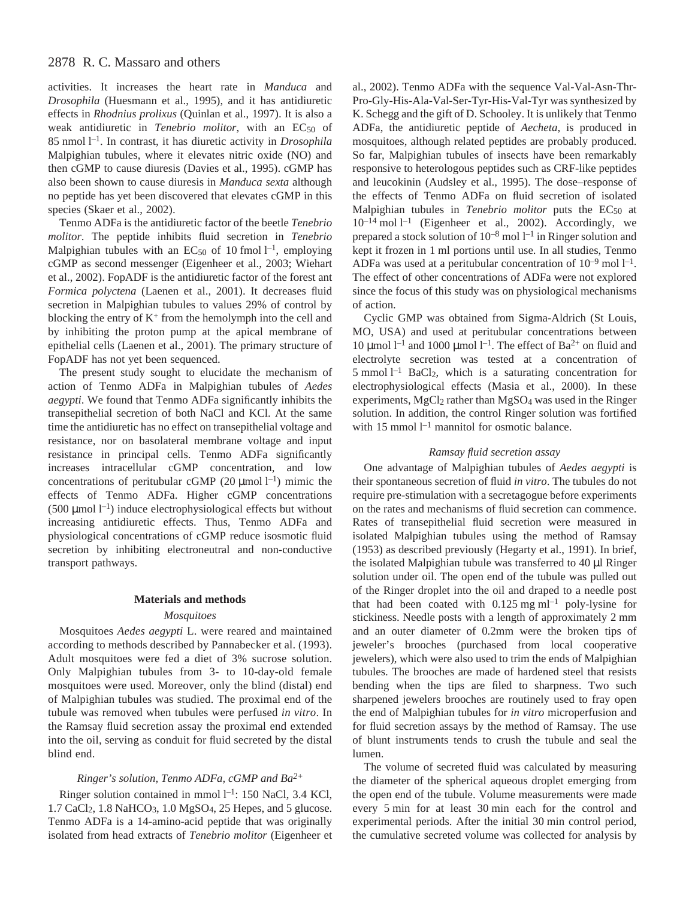activities. It increases the heart rate in *Manduca* and *Drosophila* (Huesmann et al., 1995), and it has antidiuretic effects in *Rhodnius prolixus* (Quinlan et al., 1997). It is also a weak antidiuretic in *Tenebrio molitor*, with an EC<sub>50</sub> of 85 nmol<sup>1-1</sup>. In contrast, it has diuretic activity in *Drosophila* Malpighian tubules, where it elevates nitric oxide (NO) and then cGMP to cause diuresis (Davies et al., 1995). cGMP has also been shown to cause diuresis in *Manduca sexta* although no peptide has yet been discovered that elevates cGMP in this species (Skaer et al., 2002).

Tenmo ADFa is the antidiuretic factor of the beetle *Tenebrio molitor*. The peptide inhibits fluid secretion in *Tenebrio* Malpighian tubules with an  $EC_{50}$  of 10 fmol  $l^{-1}$ , employing cGMP as second messenger (Eigenheer et al., 2003; Wiehart et al., 2002). FopADF is the antidiuretic factor of the forest ant *Formica polyctena* (Laenen et al., 2001). It decreases fluid secretion in Malpighian tubules to values 29% of control by blocking the entry of  $K^+$  from the hemolymph into the cell and by inhibiting the proton pump at the apical membrane of epithelial cells (Laenen et al., 2001). The primary structure of FopADF has not yet been sequenced.

The present study sought to elucidate the mechanism of action of Tenmo ADFa in Malpighian tubules of *Aedes aegypti*. We found that Tenmo ADFa significantly inhibits the transepithelial secretion of both NaCl and KCl. At the same time the antidiuretic has no effect on transepithelial voltage and resistance, nor on basolateral membrane voltage and input resistance in principal cells. Tenmo ADFa significantly increases intracellular cGMP concentration, and low concentrations of peritubular cGMP (20  $\mu$ mol l<sup>-1</sup>) mimic the effects of Tenmo ADFa. Higher cGMP concentrations (500  $\mu$ mol l<sup>-1</sup>) induce electrophysiological effects but without increasing antidiuretic effects. Thus, Tenmo ADFa and physiological concentrations of cGMP reduce isosmotic fluid secretion by inhibiting electroneutral and non-conductive transport pathways.

# **Materials and methods**

#### *Mosquitoes*

Mosquitoes *Aedes aegypti* L. were reared and maintained according to methods described by Pannabecker et al. (1993). Adult mosquitoes were fed a diet of 3% sucrose solution. Only Malpighian tubules from 3- to 10-day-old female mosquitoes were used. Moreover, only the blind (distal) end of Malpighian tubules was studied. The proximal end of the tubule was removed when tubules were perfused *in vitro*. In the Ramsay fluid secretion assay the proximal end extended into the oil, serving as conduit for fluid secreted by the distal blind end.

# *Ringer's solution, Tenmo ADFa, cGMP and Ba2+*

Ringer solution contained in mmol l<sup>-1</sup>: 150 NaCl, 3.4 KCl, 1.7 CaCl2, 1.8 NaHCO3, 1.0 MgSO4, 25 Hepes, and 5 glucose. Tenmo ADFa is a 14-amino-acid peptide that was originally isolated from head extracts of *Tenebrio molitor* (Eigenheer et al., 2002). Tenmo ADFa with the sequence Val-Val-Asn-Thr-Pro-Gly-His-Ala-Val-Ser-Tyr-His-Val-Tyr was synthesized by K. Schegg and the gift of D. Schooley. It is unlikely that Tenmo ADFa, the antidiuretic peptide of *Aecheta*, is produced in mosquitoes, although related peptides are probably produced. So far, Malpighian tubules of insects have been remarkably responsive to heterologous peptides such as CRF-like peptides and leucokinin (Audsley et al., 1995). The dose–response of the effects of Tenmo ADFa on fluid secretion of isolated Malpighian tubules in *Tenebrio molitor* puts the EC<sub>50</sub> at  $10^{-14}$  mol  $1^{-1}$  (Eigenheer et al., 2002). Accordingly, we prepared a stock solution of  $10^{-8}$  mol  $1^{-1}$  in Ringer solution and kept it frozen in 1 ml portions until use. In all studies, Tenmo ADFa was used at a peritubular concentration of  $10^{-9}$  mol  $1^{-1}$ . The effect of other concentrations of ADFa were not explored since the focus of this study was on physiological mechanisms of action.

Cyclic GMP was obtained from Sigma-Aldrich (St Louis, MO, USA) and used at peritubular concentrations between 10 µmol  $l^{-1}$  and 1000 µmol  $l^{-1}$ . The effect of Ba<sup>2+</sup> on fluid and electrolyte secretion was tested at a concentration of 5 mmol<sup> $1$ </sup> BaCl<sub>2</sub>, which is a saturating concentration for electrophysiological effects (Masia et al., 2000). In these experiments,  $MgCl<sub>2</sub>$  rather than  $MgSO<sub>4</sub>$  was used in the Ringer solution. In addition, the control Ringer solution was fortified with 15 mmol  $l^{-1}$  mannitol for osmotic balance.

### *Ramsay fluid secretion assay*

One advantage of Malpighian tubules of *Aedes aegypti* is their spontaneous secretion of fluid *in vitro*. The tubules do not require pre-stimulation with a secretagogue before experiments on the rates and mechanisms of fluid secretion can commence. Rates of transepithelial fluid secretion were measured in isolated Malpighian tubules using the method of Ramsay (1953) as described previously (Hegarty et al., 1991). In brief, the isolated Malpighian tubule was transferred to  $40 \mu$ l Ringer solution under oil. The open end of the tubule was pulled out of the Ringer droplet into the oil and draped to a needle post that had been coated with  $0.125$  mg ml<sup>-1</sup> poly-lysine for stickiness. Needle posts with a length of approximately 2 mm and an outer diameter of 0.2mm were the broken tips of jeweler's brooches (purchased from local cooperative jewelers), which were also used to trim the ends of Malpighian tubules. The brooches are made of hardened steel that resists bending when the tips are filed to sharpness. Two such sharpened jewelers brooches are routinely used to fray open the end of Malpighian tubules for *in vitro* microperfusion and for fluid secretion assays by the method of Ramsay. The use of blunt instruments tends to crush the tubule and seal the lumen.

The volume of secreted fluid was calculated by measuring the diameter of the spherical aqueous droplet emerging from the open end of the tubule. Volume measurements were made every 5 min for at least 30 min each for the control and experimental periods. After the initial 30 min control period, the cumulative secreted volume was collected for analysis by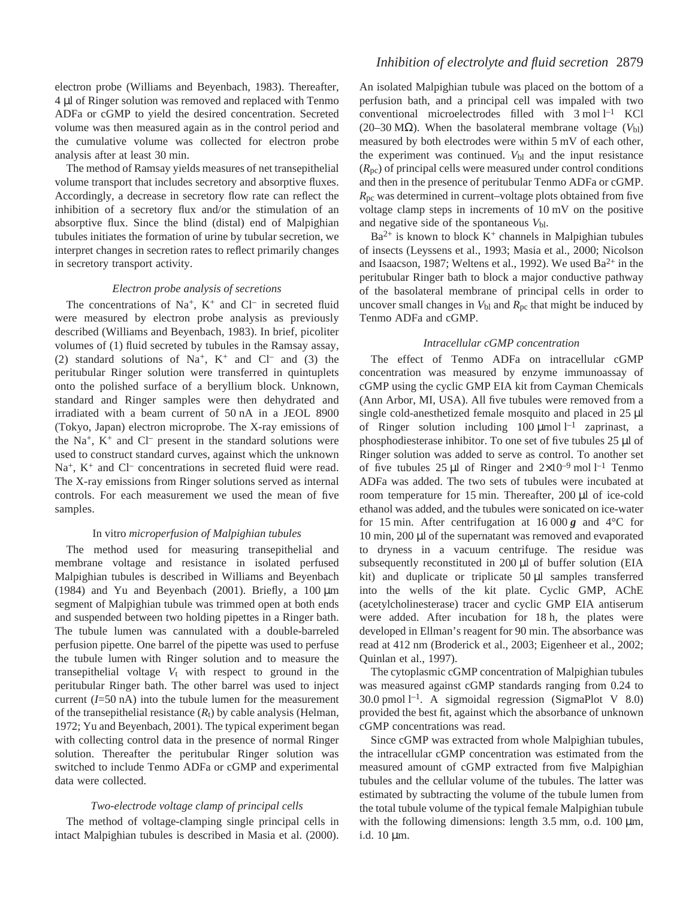electron probe (Williams and Beyenbach, 1983). Thereafter, 4·µl of Ringer solution was removed and replaced with Tenmo ADFa or cGMP to yield the desired concentration. Secreted volume was then measured again as in the control period and the cumulative volume was collected for electron probe analysis after at least 30 min.

The method of Ramsay yields measures of net transepithelial volume transport that includes secretory and absorptive fluxes. Accordingly, a decrease in secretory flow rate can reflect the inhibition of a secretory flux and/or the stimulation of an absorptive flux. Since the blind (distal) end of Malpighian tubules initiates the formation of urine by tubular secretion, we interpret changes in secretion rates to reflect primarily changes in secretory transport activity.

### *Electron probe analysis of secretions*

The concentrations of Na<sup>+</sup>, K<sup>+</sup> and Cl<sup>-</sup> in secreted fluid were measured by electron probe analysis as previously described (Williams and Beyenbach, 1983). In brief, picoliter volumes of (1) fluid secreted by tubules in the Ramsay assay, (2) standard solutions of  $Na^+$ ,  $K^+$  and  $Cl^-$  and (3) the peritubular Ringer solution were transferred in quintuplets onto the polished surface of a beryllium block. Unknown, standard and Ringer samples were then dehydrated and irradiated with a beam current of 50 nA in a JEOL 8900 (Tokyo, Japan) electron microprobe. The X-ray emissions of the  $Na<sup>+</sup>$ ,  $K<sup>+</sup>$  and  $Cl<sup>-</sup>$  present in the standard solutions were used to construct standard curves, against which the unknown  $Na<sup>+</sup>$ ,  $K<sup>+</sup>$  and Cl<sup>–</sup> concentrations in secreted fluid were read. The X-ray emissions from Ringer solutions served as internal controls. For each measurement we used the mean of five samples.

### In vitro *microperfusion of Malpighian tubules*

The method used for measuring transepithelial and membrane voltage and resistance in isolated perfused Malpighian tubules is described in Williams and Beyenbach (1984) and Yu and Beyenbach (2001). Briefly, a  $100 \mu m$ segment of Malpighian tubule was trimmed open at both ends and suspended between two holding pipettes in a Ringer bath. The tubule lumen was cannulated with a double-barreled perfusion pipette. One barrel of the pipette was used to perfuse the tubule lumen with Ringer solution and to measure the transepithelial voltage  $V_t$  with respect to ground in the peritubular Ringer bath. The other barrel was used to inject current  $(I=50 \text{ nA})$  into the tubule lumen for the measurement of the transepithelial resistance  $(R_t)$  by cable analysis (Helman, 1972; Yu and Beyenbach, 2001). The typical experiment began with collecting control data in the presence of normal Ringer solution. Thereafter the peritubular Ringer solution was switched to include Tenmo ADFa or cGMP and experimental data were collected.

## *Two-electrode voltage clamp of principal cells*

The method of voltage-clamping single principal cells in intact Malpighian tubules is described in Masia et al. (2000). An isolated Malpighian tubule was placed on the bottom of a perfusion bath, and a principal cell was impaled with two conventional microelectrodes filled with  $3 \text{ mol } l^{-1}$  KCl (20–30 M $\Omega$ ). When the basolateral membrane voltage ( $V_{\text{bl}}$ ) measured by both electrodes were within  $5 \text{ mV}$  of each other, the experiment was continued.  $V_{bl}$  and the input resistance  $(R_{pc})$  of principal cells were measured under control conditions and then in the presence of peritubular Tenmo ADFa or cGMP. *R*pc was determined in current–voltage plots obtained from five voltage clamp steps in increments of  $10\,\mathrm{mV}$  on the positive and negative side of the spontaneous *V*bl.

 $Ba^{2+}$  is known to block  $K^+$  channels in Malpighian tubules of insects (Leyssens et al., 1993; Masia et al., 2000; Nicolson and Isaacson, 1987; Weltens et al., 1992). We used  $Ba^{2+}$  in the peritubular Ringer bath to block a major conductive pathway of the basolateral membrane of principal cells in order to uncover small changes in  $V_{bl}$  and  $R_{pc}$  that might be induced by Tenmo ADFa and cGMP.

### *Intracellular cGMP concentration*

The effect of Tenmo ADFa on intracellular cGMP concentration was measured by enzyme immunoassay of cGMP using the cyclic GMP EIA kit from Cayman Chemicals (Ann Arbor, MI, USA). All five tubules were removed from a single cold-anesthetized female mosquito and placed in 25  $\mu$ l of Ringer solution including  $100 \mu$ mol l<sup>-1</sup> zaprinast, a phosphodiesterase inhibitor. To one set of five tubules 25 µl of Ringer solution was added to serve as control. To another set of five tubules  $25 \mu l$  of Ringer and  $2 \times 10^{-9}$  mol  $l^{-1}$  Tenmo ADFa was added. The two sets of tubules were incubated at room temperature for 15 min. Thereafter,  $200 \mu l$  of ice-cold ethanol was added, and the tubules were sonicated on ice-water for 15 min. After centrifugation at  $16000\,\text{g}$  and  $4^{\circ}\text{C}$  for  $10$  min,  $200 \mu l$  of the supernatant was removed and evaporated to dryness in a vacuum centrifuge. The residue was subsequently reconstituted in  $200 \mu l$  of buffer solution (EIA kit) and duplicate or triplicate  $50 \mu l$  samples transferred into the wells of the kit plate. Cyclic GMP, AChE (acetylcholinesterase) tracer and cyclic GMP EIA antiserum were added. After incubation for 18 h, the plates were developed in Ellman's reagent for 90 min. The absorbance was read at 412 nm (Broderick et al., 2003; Eigenheer et al., 2002; Quinlan et al., 1997).

The cytoplasmic cGMP concentration of Malpighian tubules was measured against cGMP standards ranging from 0.24 to 30.0 pmol  $l^{-1}$ . A sigmoidal regression (SigmaPlot V 8.0) provided the best fit, against which the absorbance of unknown cGMP concentrations was read.

Since cGMP was extracted from whole Malpighian tubules, the intracellular cGMP concentration was estimated from the measured amount of cGMP extracted from five Malpighian tubules and the cellular volume of the tubules. The latter was estimated by subtracting the volume of the tubule lumen from the total tubule volume of the typical female Malpighian tubule with the following dimensions: length  $3.5$  mm, o.d.  $100 \mu m$ , i.d.  $10 \mu m$ .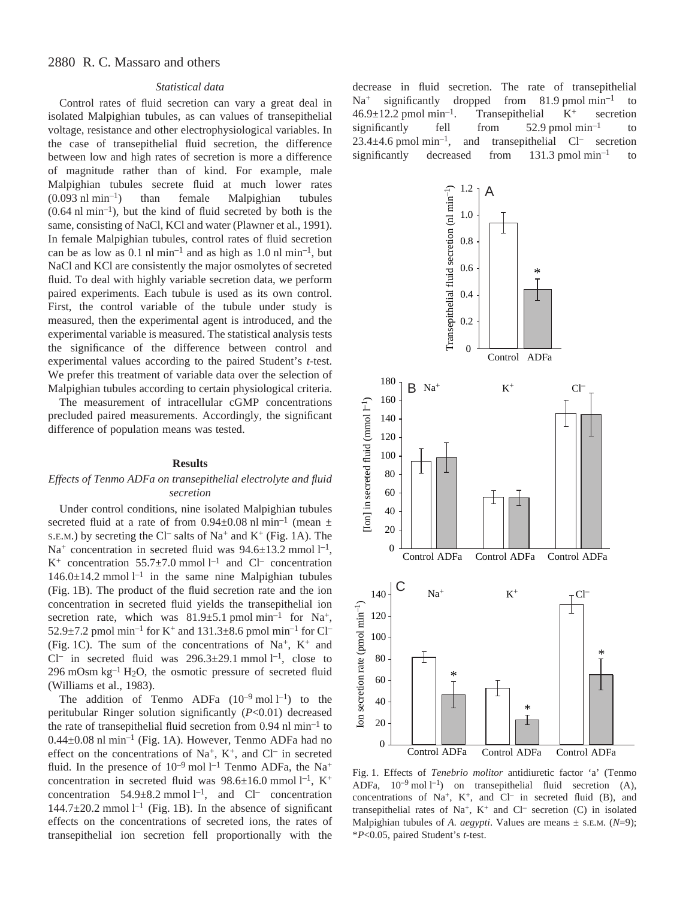# *Statistical data*

Control rates of fluid secretion can vary a great deal in isolated Malpighian tubules, as can values of transepithelial voltage, resistance and other electrophysiological variables. In the case of transepithelial fluid secretion, the difference between low and high rates of secretion is more a difference of magnitude rather than of kind. For example, male Malpighian tubules secrete fluid at much lower rates  $(0.093 \text{ n}l \text{ min}^{-1})$  than female Malpighian tubules  $(0.64$  nl min<sup>-1</sup>), but the kind of fluid secreted by both is the same, consisting of NaCl, KCl and water (Plawner et al., 1991). In female Malpighian tubules, control rates of fluid secretion can be as low as 0.1  $\text{nl}$  min<sup>-1</sup> and as high as 1.0  $\text{nl}$  min<sup>-1</sup>, but NaCl and KCl are consistently the major osmolytes of secreted fluid. To deal with highly variable secretion data, we perform paired experiments. Each tubule is used as its own control. First, the control variable of the tubule under study is measured, then the experimental agent is introduced, and the experimental variable is measured. The statistical analysis tests the significance of the difference between control and experimental values according to the paired Student's *t*-test. We prefer this treatment of variable data over the selection of Malpighian tubules according to certain physiological criteria.

The measurement of intracellular cGMP concentrations precluded paired measurements. Accordingly, the significant difference of population means was tested.

#### **Results**

# *Effects of Tenmo ADFa on transepithelial electrolyte and fluid secretion*

Under control conditions, nine isolated Malpighian tubules secreted fluid at a rate of from 0.94 $\pm$ 0.08 nl min<sup>-1</sup> (mean  $\pm$ s.e.m.) by secreting the Cl<sup>–</sup> salts of Na<sup>+</sup> and K<sup>+</sup> (Fig. 1A). The Na<sup>+</sup> concentration in secreted fluid was  $94.6 \pm 13.2$  mmol  $l^{-1}$ ,  $K^+$  concentration 55.7 $\pm$ 7.0 mmol l<sup>-1</sup> and Cl<sup>-</sup> concentration  $146.0 \pm 14.2$  mmol  $l^{-1}$  in the same nine Malpighian tubules (Fig. 1B). The product of the fluid secretion rate and the ion concentration in secreted fluid yields the transepithelial ion secretion rate, which was  $81.9 \pm 5.1$  pmol min<sup>-1</sup> for Na<sup>+</sup>, 52.9 $\pm$ 7.2 pmol min<sup>-1</sup> for K<sup>+</sup> and 131.3 $\pm$ 8.6 pmol min<sup>-1</sup> for Cl<sup>-1</sup> (Fig. 1C). The sum of the concentrations of Na<sup>+</sup>, K<sup>+</sup> and Cl<sup>-</sup> in secreted fluid was  $296.3 \pm 29.1$  mmol l<sup>-1</sup>, close to 296 mOsm  $kg^{-1}$  H<sub>2</sub>O, the osmotic pressure of secreted fluid (Williams et al., 1983).

The addition of Tenmo ADFa  $(10^{-9} \text{ mol } l^{-1})$  to the peritubular Ringer solution significantly (*P*<0.01) decreased the rate of transepithelial fluid secretion from  $0.94$  nl min<sup>-1</sup> to  $0.44\pm0.08$  nl min<sup>-1</sup> (Fig. 1A). However, Tenmo ADFa had no effect on the concentrations of Na<sup>+</sup>, K<sup>+</sup>, and Cl<sup>-</sup> in secreted fluid. In the presence of  $10^{-9}$  mol  $1^{-1}$  Tenmo ADFa, the Na<sup>+</sup> concentration in secreted fluid was  $98.6 \pm 16.0$  mmol l<sup>-1</sup>, K<sup>+</sup> concentration  $54.9 \pm 8.2$  mmol  $l^{-1}$ , and Cl<sup>–</sup> concentration 144.7 $\pm$ 20.2 mmol<sup>1-1</sup> (Fig. 1B). In the absence of significant effects on the concentrations of secreted ions, the rates of transepithelial ion secretion fell proportionally with the

decrease in fluid secretion. The rate of transepithelial  $Na<sup>+</sup>$  significantly dropped from 81.9 pmol min<sup>-1</sup> to  $46.9 \pm 12.2$  pmol min<sup>-1</sup>. Transepithelial K<sup>+</sup> secretion significantly fell from  $52.9 \text{ pmol min}^{-1}$  to  $23.4 \pm 4.6$  pmol min<sup>-1</sup>, and transepithelial Cl<sup>-</sup> secretion significantly decreased from  $131.3$  pmol $\text{min}^{-1}$  to



Fig. 1. Effects of *Tenebrio molitor* antidiuretic factor 'a' (Tenmo ADFa,  $10^{-9}$  mol  $1^{-1}$ ) on transepithelial fluid secretion (A), concentrations of Na<sup>+</sup>, K<sup>+</sup>, and Cl<sup>-</sup> in secreted fluid (B), and transepithelial rates of Na<sup>+</sup>, K<sup>+</sup> and Cl<sup>-</sup> secretion (C) in isolated Malpighian tubules of *A. aegypti*. Values are means ± S.E.M. (*N*=9); \**P*<0.05, paired Student's *t*-test.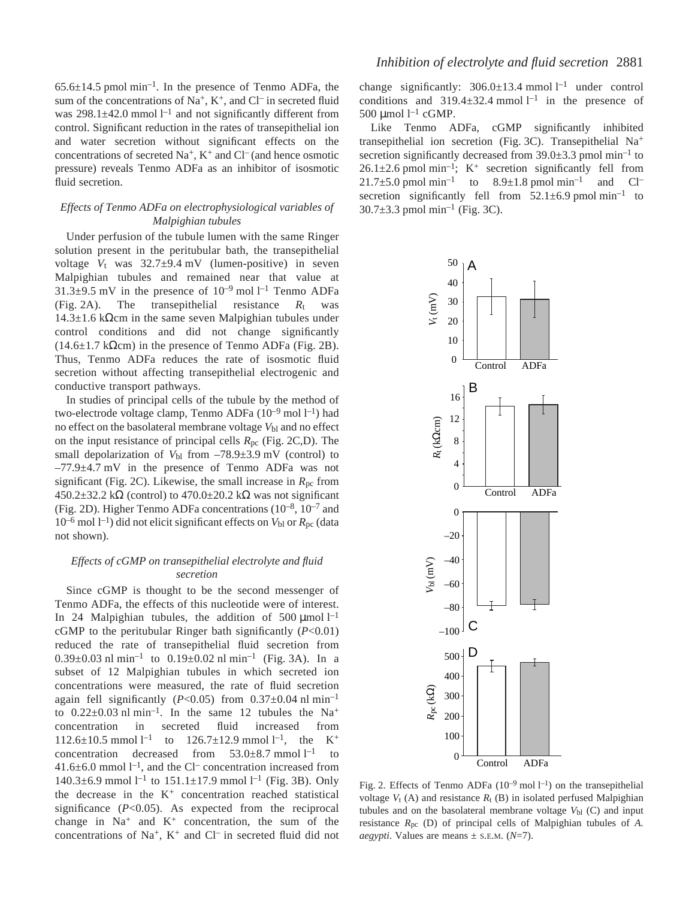$65.6\pm14.5$  pmol min<sup>-1</sup>. In the presence of Tenmo ADFa, the sum of the concentrations of Na<sup>+</sup>, K<sup>+</sup>, and Cl<sup>-</sup> in secreted fluid was  $298.1 \pm 42.0$  mmol  $l^{-1}$  and not significantly different from control. Significant reduction in the rates of transepithelial ion and water secretion without significant effects on the concentrations of secreted  $Na^+$ ,  $K^+$  and  $Cl^-$  (and hence osmotic pressure) reveals Tenmo ADFa as an inhibitor of isosmotic fluid secretion.

# *Effects of Tenmo ADFa on electrophysiological variables of Malpighian tubules*

Under perfusion of the tubule lumen with the same Ringer solution present in the peritubular bath, the transepithelial voltage  $V_t$  was  $32.7\pm9.4$  mV (lumen-positive) in seven Malpighian tubules and remained near that value at  $31.3\pm9.5$  mV in the presence of  $10^{-9}$  mol l<sup>-1</sup> Tenmo ADFa (Fig. 2A). The transepithelial resistance  $R_t$  was 14.3±1.6 kΩcm in the same seven Malpighian tubules under control conditions and did not change significantly (14.6 $\pm$ 1.7 kΩcm) in the presence of Tenmo ADFa (Fig. 2B). Thus, Tenmo ADFa reduces the rate of isosmotic fluid secretion without affecting transepithelial electrogenic and conductive transport pathways.

In studies of principal cells of the tubule by the method of two-electrode voltage clamp, Tenmo ADFa (10<sup>-9</sup> mol l<sup>-1</sup>) had no effect on the basolateral membrane voltage  $V_{bl}$  and no effect on the input resistance of principal cells  $R_{\text{pc}}$  (Fig. 2C,D). The small depolarization of  $V_{bl}$  from  $-78.9 \pm 3.9$  mV (control) to  $-77.9\pm4.7$  mV in the presence of Tenmo ADFa was not significant (Fig. 2C). Likewise, the small increase in  $R_{\text{pc}}$  from  $450.2\pm32.2$  kΩ (control) to  $470.0\pm20.2$  kΩ was not significant (Fig. 2D). Higher Tenmo ADFa concentrations  $(10^{-8}, 10^{-7}$  and  $10^{-6}$  mol  $1^{-1}$ ) did not elicit significant effects on  $V_{bl}$  or  $R_{pc}$  (data not shown).

# *Effects of cGMP on transepithelial electrolyte and fluid secretion*

Since cGMP is thought to be the second messenger of Tenmo ADFa, the effects of this nucleotide were of interest. In 24 Malpighian tubules, the addition of 500  $\mu$ mol l<sup>-1</sup> cGMP to the peritubular Ringer bath significantly (*P*<0.01) reduced the rate of transepithelial fluid secretion from  $0.39\pm0.03$  nl min<sup>-1</sup> to  $0.19\pm0.02$  nl min<sup>-1</sup> (Fig. 3A). In a subset of 12 Malpighian tubules in which secreted ion concentrations were measured, the rate of fluid secretion again fell significantly ( $P<0.05$ ) from  $0.37\pm0.04$  nl min<sup>-1</sup> to  $0.22\pm0.03$  nl min<sup>-1</sup>. In the same 12 tubules the Na<sup>+</sup> concentration in secreted fluid increased from  $112.6 \pm 10.5$  mmol  $l^{-1}$  to  $126.7 \pm 12.9$  mmol  $l^{-1}$ , the K<sup>+</sup> concentration decreased from  $53.0 \pm 8.7$  mmol  $l^{-1}$  to  $41.6\pm6.0$  mmol  $1^{-1}$ , and the Cl<sup>–</sup> concentration increased from 140.3 $\pm$ 6.9 mmol<sup>1-1</sup> to 151.1 $\pm$ 17.9 mmol<sup>1-1</sup> (Fig. 3B). Only the decrease in the  $K^+$  concentration reached statistical significance (*P*<0.05). As expected from the reciprocal change in  $Na<sup>+</sup>$  and  $K<sup>+</sup>$  concentration, the sum of the concentrations of  $Na^+$ ,  $K^+$  and  $Cl^-$  in secreted fluid did not

change significantly:  $306.0 \pm 13.4$  mmol  $l^{-1}$  under control conditions and  $319.4 \pm 32.4$  mmol  $l^{-1}$  in the presence of 500 µmol  $l^{-1}$  cGMP.

Like Tenmo ADFa, cGMP significantly inhibited transepithelial ion secretion (Fig. 3C). Transepithelial  $Na^+$ secretion significantly decreased from  $39.0\pm3.3$  pmol min<sup>-1</sup> to  $26.1 \pm 2.6$  pmol min<sup>-1</sup>; K<sup>+</sup> secretion significantly fell from  $21.7\pm5.0$  pmol min<sup>-1</sup> to  $8.9\pm1.8$  pmol min<sup>-1</sup> and Cl<sup>-1</sup> secretion significantly fell from  $52.1 \pm 6.9$  pmol min<sup>-1</sup> to  $30.7\pm3.3$  pmol min<sup>-1</sup> (Fig. 3C).



Fig. 2. Effects of Tenmo ADFa  $(10^{-9} \text{ mol } l^{-1})$  on the transepithelial voltage  $V_t$  (A) and resistance  $R_t$  (B) in isolated perfused Malpighian tubules and on the basolateral membrane voltage *V*bl (C) and input resistance *R*pc (D) of principal cells of Malpighian tubules of *A. aegypti*. Values are means  $\pm$  s.e.m. ( $N=7$ ).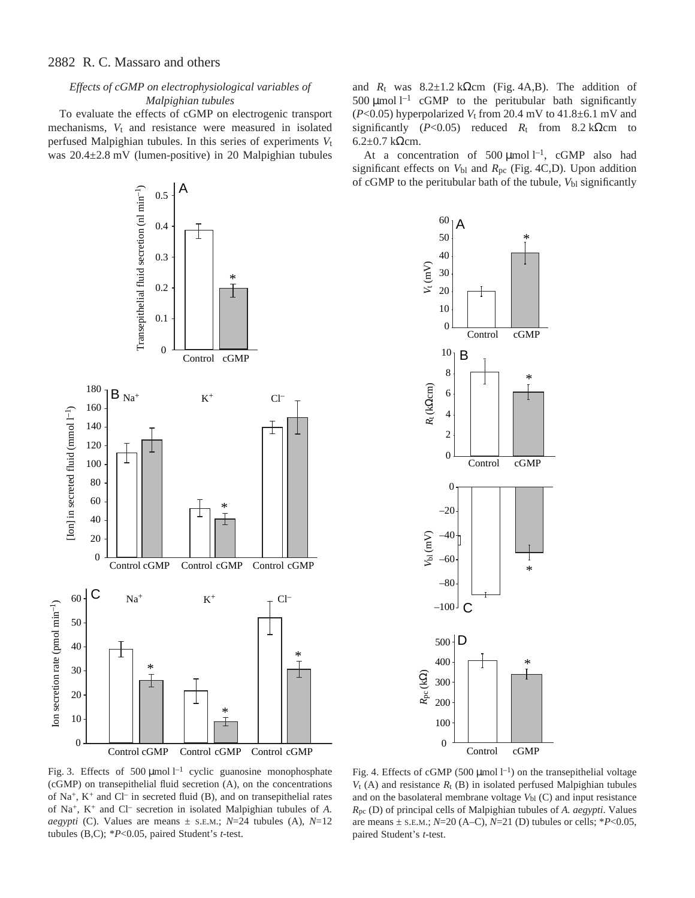# *Effects of cGMP on electrophysiological variables of Malpighian tubules*

To evaluate the effects of cGMP on electrogenic transport mechanisms,  $V_t$  and resistance were measured in isolated perfused Malpighian tubules. In this series of experiments *V*t was  $20.4\pm2.8$  mV (lumen-positive) in 20 Malpighian tubules



and  $R_t$  was  $8.2 \pm 1.2$  kΩcm (Fig. 4A,B). The addition of 500  $\mu$ mol l<sup>-1</sup> cGMP to the peritubular bath significantly ( $P<0.05$ ) hyperpolarized  $V_t$  from 20.4 mV to 41.8 $\pm$ 6.1 mV and significantly ( $P<0.05$ ) reduced  $R_t$  from 8.2 kΩcm to 6.2 $±0.7$  kΩcm.

At a concentration of 500  $\mu$ mol l<sup>-1</sup>, cGMP also had significant effects on  $V_{bl}$  and  $R_{pc}$  (Fig. 4C,D). Upon addition of cGMP to the peritubular bath of the tubule,  $V_{bl}$  significantly



Fig. 3. Effects of 500  $\mu$ mol l<sup>-1</sup> cyclic guanosine monophosphate (cGMP) on transepithelial fluid secretion (A), on the concentrations of Na<sup>+</sup>, K<sup>+</sup> and Cl<sup>-</sup> in secreted fluid (B), and on transepithelial rates of Na+, K+ and Cl– secretion in isolated Malpighian tubules of *A. aegypti* (C). Values are means  $\pm$  s.e.m.; *N*=24 tubules (A), *N*=12 tubules (B,C); \**P*<0.05, paired Student's *t*-test.

Fig. 4. Effects of cGMP (500  $\mu$ mol l<sup>-1</sup>) on the transepithelial voltage  $V_t$  (A) and resistance  $R_t$  (B) in isolated perfused Malpighian tubules and on the basolateral membrane voltage  $V_{bl}$  (C) and input resistance *R*pc (D) of principal cells of Malpighian tubules of *A. aegypti*. Values are means  $\pm$  s.e.m.;  $N=20$  (A–C),  $N=21$  (D) tubules or cells;  $*P<0.05$ , paired Student's *t*-test.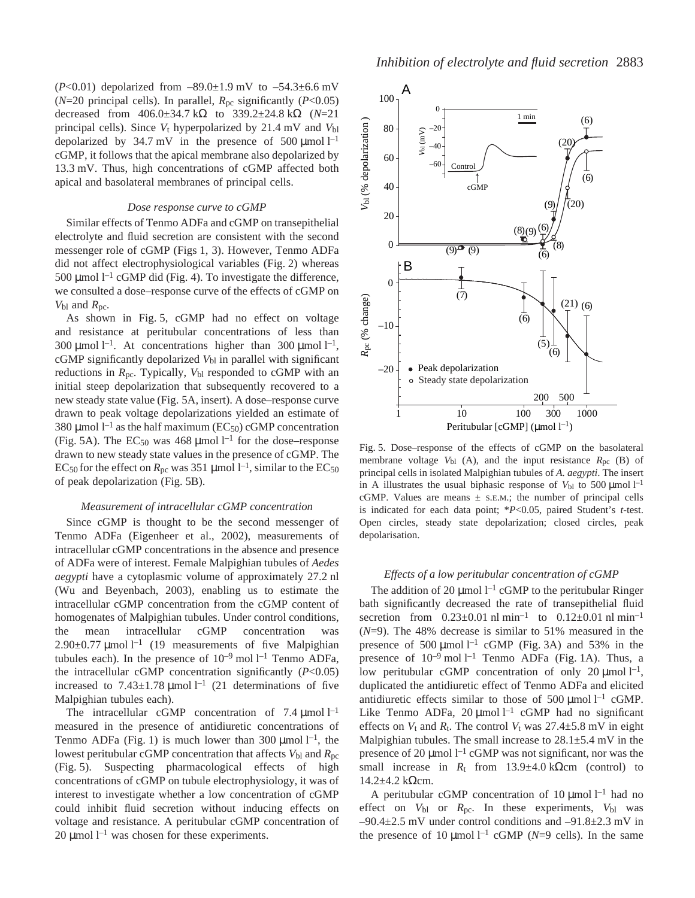( $P<0.01$ ) depolarized from  $-89.0 \pm 1.9$  mV to  $-54.3 \pm 6.6$  mV ( $N=20$  principal cells). In parallel,  $R_{pc}$  significantly ( $P<0.05$ ) decreased from 406.0±34.7·kΩ to 339.2±24.8·kΩ (*N*=21 principal cells). Since  $V_t$  hyperpolarized by 21.4 mV and  $V_{bl}$ depolarized by 34.7 mV in the presence of 500  $\mu$ mol l<sup>-1</sup> cGMP, it follows that the apical membrane also depolarized by 13.3 mV. Thus, high concentrations of cGMP affected both apical and basolateral membranes of principal cells.

# *Dose response curve to cGMP*

Similar effects of Tenmo ADFa and cGMP on transepithelial electrolyte and fluid secretion are consistent with the second messenger role of cGMP (Figs 1, 3). However, Tenmo ADFa did not affect electrophysiological variables (Fig. 2) whereas 500 µmol  $l^{-1}$  cGMP did (Fig. 4). To investigate the difference, we consulted a dose–response curve of the effects of cGMP on  $V_{\text{bl}}$  and  $R_{\text{pc}}$ .

As shown in Fig. 5, cGMP had no effect on voltage and resistance at peritubular concentrations of less than 300 µmol  $l^{-1}$ . At concentrations higher than 300 µmol  $l^{-1}$ , cGMP significantly depolarized  $V_{bl}$  in parallel with significant reductions in  $R_{\text{pc}}$ . Typically,  $V_{\text{bl}}$  responded to cGMP with an initial steep depolarization that subsequently recovered to a new steady state value (Fig. 5A, insert). A dose–response curve drawn to peak voltage depolarizations yielded an estimate of 380 µmol  $l^{-1}$  as the half maximum (EC<sub>50</sub>) cGMP concentration (Fig. 5A). The EC<sub>50</sub> was 468 µmol<sup>1-1</sup> for the dose–response drawn to new steady state values in the presence of cGMP. The  $EC_{50}$  for the effect on  $R_{\text{pc}}$  was 351 µmol  $l^{-1}$ , similar to the  $EC_{50}$ of peak depolarization (Fig. 5B).

### *Measurement of intracellular cGMP concentration*

Since cGMP is thought to be the second messenger of Tenmo ADFa (Eigenheer et al., 2002), measurements of intracellular cGMP concentrations in the absence and presence of ADFa were of interest. Female Malpighian tubules of *Aedes aegypti* have a cytoplasmic volume of approximately 27.2 nl (Wu and Beyenbach, 2003), enabling us to estimate the intracellular cGMP concentration from the cGMP content of homogenates of Malpighian tubules. Under control conditions, the mean intracellular cGMP concentration was  $2.90\pm0.77$  µmol  $l^{-1}$  (19 measurements of five Malpighian tubules each). In the presence of  $10^{-9}$  mol  $1^{-1}$  Tenmo ADFa, the intracellular cGMP concentration significantly (*P*<0.05) increased to  $7.43 \pm 1.78$  µmol  $l^{-1}$  (21 determinations of five Malpighian tubules each).

The intracellular cGMP concentration of 7.4  $\mu$ mol l<sup>-1</sup> measured in the presence of antidiuretic concentrations of Tenmo ADFa (Fig. 1) is much lower than 300  $\mu$ mol l<sup>-1</sup>, the lowest peritubular cGMP concentration that affects  $V_{bl}$  and  $R_{pc}$ (Fig. 5). Suspecting pharmacological effects of high concentrations of cGMP on tubule electrophysiology, it was of interest to investigate whether a low concentration of cGMP could inhibit fluid secretion without inducing effects on voltage and resistance. A peritubular cGMP concentration of 20  $\mu$ mol l<sup>-1</sup> was chosen for these experiments.



Fig. 5. Dose–response of the effects of cGMP on the basolateral membrane voltage  $V_{bl}$  (A), and the input resistance  $R_{pc}$  (B) of principal cells in isolated Malpighian tubules of *A. aegypti*. The insert in A illustrates the usual biphasic response of  $V_{bl}$  to 500  $\mu$ mol  $l^{-1}$ cGMP. Values are means  $\pm$  s.E.M.; the number of principal cells is indicated for each data point; \**P*<0.05, paired Student's *t*-test. Open circles, steady state depolarization; closed circles, peak depolarisation.

#### *Effects of a low peritubular concentration of cGMP*

The addition of 20  $\mu$ mol l<sup>-1</sup> cGMP to the peritubular Ringer bath significantly decreased the rate of transepithelial fluid secretion from  $0.23 \pm 0.01 \text{ n} \cdot \text{ l} \cdot \text{ min}^{-1}$  to  $0.12 \pm 0.01 \text{ n} \cdot \text{ l} \cdot \text{ min}^{-1}$ (*N*=9). The 48% decrease is similar to 51% measured in the presence of 500  $\mu$ mol l<sup>-1</sup> cGMP (Fig. 3A) and 53% in the presence of  $10^{-9}$  mol  $l^{-1}$  Tenmo ADFa (Fig. 1A). Thus, a low peritubular cGMP concentration of only 20  $\mu$ mol  $l^{-1}$ , duplicated the antidiuretic effect of Tenmo ADFa and elicited antidiuretic effects similar to those of 500  $\mu$ mol l<sup>-1</sup> cGMP. Like Tenmo ADFa, 20  $\mu$ mol l<sup>-1</sup> cGMP had no significant effects on  $V_t$  and  $R_t$ . The control  $V_t$  was 27.4 $\pm$ 5.8 mV in eight Malpighian tubules. The small increase to  $28.1 \pm 5.4$  mV in the presence of 20  $\mu$ mol l<sup>-1</sup> cGMP was not significant, nor was the small increase in  $R_t$  from 13.9±4.0 kΩcm (control) to  $14.2\pm4.2$  kΩcm.

A peritubular cGMP concentration of 10  $\mu$ mol l<sup>-1</sup> had no effect on *V*bl or *R*pc. In these experiments, *V*bl was  $-90.4\pm2.5$  mV under control conditions and  $-91.8\pm2.3$  mV in the presence of 10  $\mu$ mol<sup>1-1</sup> cGMP (*N*=9 cells). In the same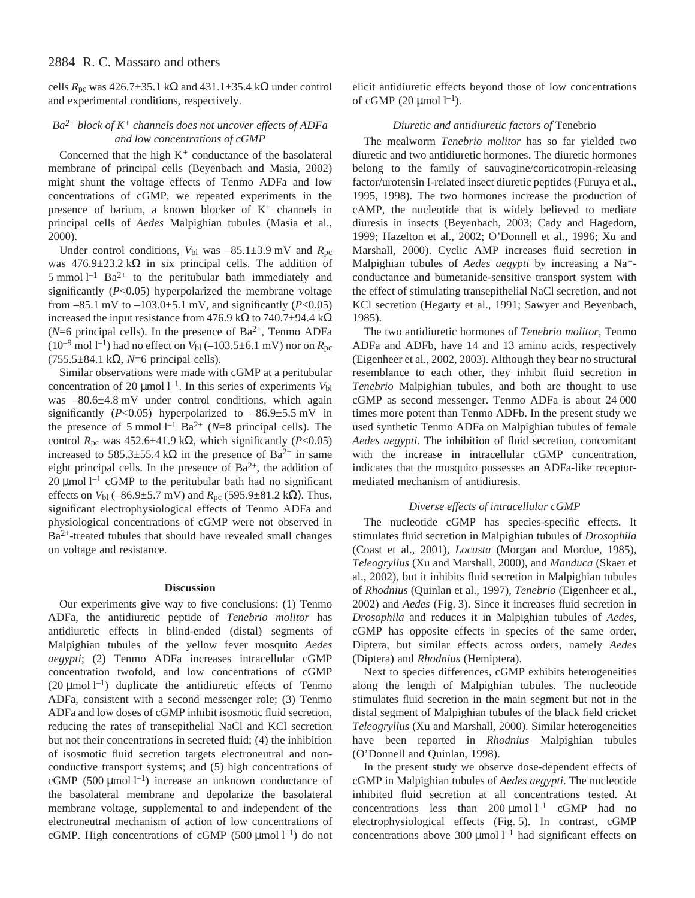cells  $R_{\text{pc}}$  was 426.7±35.1 kΩ and 431.1±35.4 kΩ under control and experimental conditions, respectively.

# *Ba2+ block of K<sup>+</sup> channels does not uncover effects of ADFa and low concentrations of cGMP*

Concerned that the high K*<sup>+</sup>* conductance of the basolateral membrane of principal cells (Beyenbach and Masia, 2002) might shunt the voltage effects of Tenmo ADFa and low concentrations of cGMP, we repeated experiments in the presence of barium, a known blocker of  $K^+$  channels in principal cells of *Aedes* Malpighian tubules (Masia et al., 2000).

Under control conditions,  $V_{bl}$  was  $-85.1 \pm 3.9$  mV and  $R_{pc}$ was  $476.9 \pm 23.2 \text{ k}\Omega$  in six principal cells. The addition of 5 mmol  $1^{-1}$  Ba<sup>2+</sup> to the peritubular bath immediately and significantly (*P*<0.05) hyperpolarized the membrane voltage from  $-85.1$  mV to  $-103.0 \pm 5.1$  mV, and significantly (*P*<0.05) increased the input resistance from 476.9 kΩ to 740.7±94.4 kΩ ( $N=6$  principal cells). In the presence of Ba<sup>2+</sup>, Tenmo ADFa  $(10^{-9} \text{ mol } l^{-1})$  had no effect on  $V_{bl}$  (–103.5±6.1 mV) nor on  $R_{pc}$ (755.5±84.1·kΩ, *N*=6 principal cells).

Similar observations were made with cGMP at a peritubular concentration of 20  $\mu$ mol l<sup>-1</sup>. In this series of experiments  $V_{bl}$ was  $-80.6\pm4.8$  mV under control conditions, which again significantly ( $P<0.05$ ) hyperpolarized to  $-86.9 \pm 5.5$  mV in the presence of 5 mmol<sup> $1^{-1}$ </sup> Ba<sup>2+</sup> (*N*=8 principal cells). The control  $R_{\text{pc}}$  was 452.6±41.9 k $\Omega$ , which significantly (*P*<0.05) increased to 585.3±55.4 k $\Omega$  in the presence of Ba<sup>2+</sup> in same eight principal cells. In the presence of  $Ba^{2+}$ , the addition of 20  $\mu$ mol l<sup>-1</sup> cGMP to the peritubular bath had no significant effects on *V*bl (–86.9±5.7·mV) and *R*pc (595.9±81.2·kΩ). Thus, significant electrophysiological effects of Tenmo ADFa and physiological concentrations of cGMP were not observed in Ba2+-treated tubules that should have revealed small changes on voltage and resistance.

#### **Discussion**

Our experiments give way to five conclusions: (1) Tenmo ADFa, the antidiuretic peptide of *Tenebrio molitor* has antidiuretic effects in blind-ended (distal) segments of Malpighian tubules of the yellow fever mosquito *Aedes aegypti*; (2) Tenmo ADFa increases intracellular cGMP concentration twofold, and low concentrations of cGMP (20  $\mu$ mol l<sup>-1</sup>) duplicate the antidiuretic effects of Tenmo ADFa, consistent with a second messenger role; (3) Tenmo ADFa and low doses of cGMP inhibit isosmotic fluid secretion, reducing the rates of transepithelial NaCl and KCl secretion but not their concentrations in secreted fluid; (4) the inhibition of isosmotic fluid secretion targets electroneutral and nonconductive transport systems; and (5) high concentrations of cGMP (500  $\mu$ mol l<sup>-1</sup>) increase an unknown conductance of the basolateral membrane and depolarize the basolateral membrane voltage, supplemental to and independent of the electroneutral mechanism of action of low concentrations of cGMP. High concentrations of cGMP (500  $\mu$ mol l<sup>-1</sup>) do not

elicit antidiuretic effects beyond those of low concentrations of cGMP (20  $\mu$ mol l<sup>-1</sup>).

# *Diuretic and antidiuretic factors of* Tenebrio

The mealworm *Tenebrio molitor* has so far yielded two diuretic and two antidiuretic hormones. The diuretic hormones belong to the family of sauvagine/corticotropin-releasing factor/urotensin I-related insect diuretic peptides (Furuya et al., 1995, 1998). The two hormones increase the production of cAMP, the nucleotide that is widely believed to mediate diuresis in insects (Beyenbach, 2003; Cady and Hagedorn, 1999; Hazelton et al., 2002; O'Donnell et al., 1996; Xu and Marshall, 2000). Cyclic AMP increases fluid secretion in Malpighian tubules of *Aedes aegypti* by increasing a Na*+* conductance and bumetanide-sensitive transport system with the effect of stimulating transepithelial NaCl secretion, and not KCl secretion (Hegarty et al., 1991; Sawyer and Beyenbach, 1985).

The two antidiuretic hormones of *Tenebrio molitor*, Tenmo ADFa and ADFb, have 14 and 13 amino acids, respectively (Eigenheer et al., 2002, 2003). Although they bear no structural resemblance to each other, they inhibit fluid secretion in *Tenebrio* Malpighian tubules, and both are thought to use cGMP as second messenger. Tenmo ADFa is about 24 000 times more potent than Tenmo ADFb. In the present study we used synthetic Tenmo ADFa on Malpighian tubules of female *Aedes aegypti*. The inhibition of fluid secretion, concomitant with the increase in intracellular cGMP concentration, indicates that the mosquito possesses an ADFa-like receptormediated mechanism of antidiuresis.

# *Diverse effects of intracellular cGMP*

The nucleotide cGMP has species-specific effects. It stimulates fluid secretion in Malpighian tubules of *Drosophila* (Coast et al., 2001), *Locusta* (Morgan and Mordue, 1985), *Teleogryllus* (Xu and Marshall, 2000), and *Manduca* (Skaer et al., 2002), but it inhibits fluid secretion in Malpighian tubules of *Rhodnius* (Quinlan et al., 1997), *Tenebrio* (Eigenheer et al., 2002) and *Aedes* (Fig. 3). Since it increases fluid secretion in *Drosophila* and reduces it in Malpighian tubules of *Aedes*, cGMP has opposite effects in species of the same order, Diptera, but similar effects across orders, namely *Aedes* (Diptera) and *Rhodnius* (Hemiptera).

Next to species differences, cGMP exhibits heterogeneities along the length of Malpighian tubules. The nucleotide stimulates fluid secretion in the main segment but not in the distal segment of Malpighian tubules of the black field cricket *Teleogryllus* (Xu and Marshall, 2000). Similar heterogeneities have been reported in *Rhodnius* Malpighian tubules (O'Donnell and Quinlan, 1998).

In the present study we observe dose-dependent effects of cGMP in Malpighian tubules of *Aedes aegypti*. The nucleotide inhibited fluid secretion at all concentrations tested. At concentrations less than  $200 \mu$ mol l<sup>-1</sup> cGMP had no electrophysiological effects (Fig. 5). In contrast, cGMP concentrations above 300  $\mu$ mol l<sup>-1</sup> had significant effects on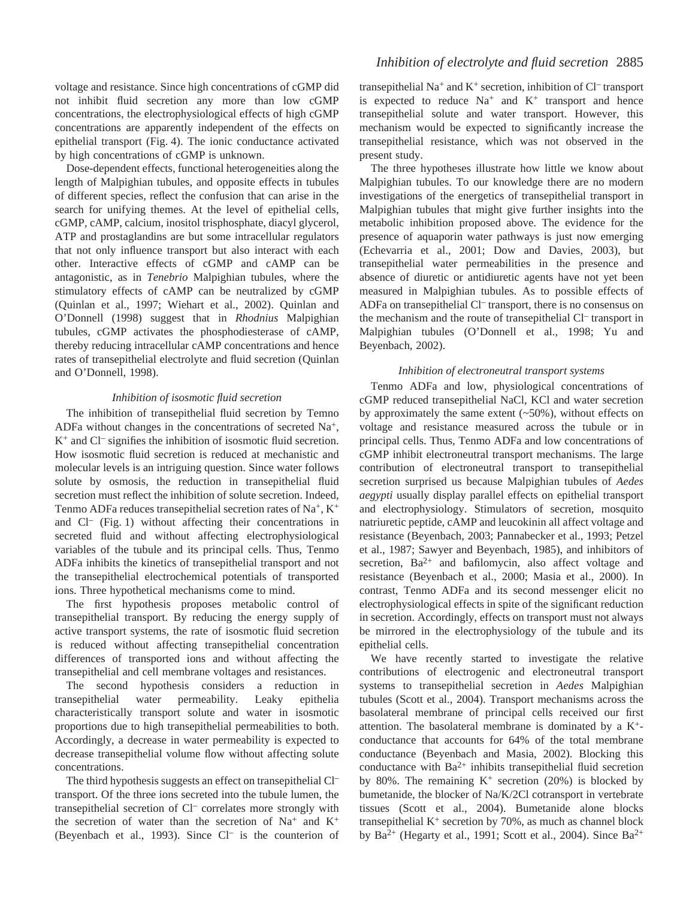voltage and resistance. Since high concentrations of cGMP did not inhibit fluid secretion any more than low cGMP concentrations, the electrophysiological effects of high cGMP concentrations are apparently independent of the effects on epithelial transport (Fig. 4). The ionic conductance activated by high concentrations of cGMP is unknown.

Dose-dependent effects, functional heterogeneities along the length of Malpighian tubules, and opposite effects in tubules of different species, reflect the confusion that can arise in the search for unifying themes. At the level of epithelial cells, cGMP, cAMP, calcium, inositol trisphosphate, diacyl glycerol, ATP and prostaglandins are but some intracellular regulators that not only influence transport but also interact with each other. Interactive effects of cGMP and cAMP can be antagonistic, as in *Tenebrio* Malpighian tubules, where the stimulatory effects of cAMP can be neutralized by cGMP (Quinlan et al., 1997; Wiehart et al., 2002). Quinlan and O'Donnell (1998) suggest that in *Rhodnius* Malpighian tubules, cGMP activates the phosphodiesterase of cAMP, thereby reducing intracellular cAMP concentrations and hence rates of transepithelial electrolyte and fluid secretion (Quinlan and O'Donnell, 1998).

### *Inhibition of isosmotic fluid secretion*

The inhibition of transepithelial fluid secretion by Temno ADFa without changes in the concentrations of secreted Na+, K+ and Cl– signifies the inhibition of isosmotic fluid secretion. How isosmotic fluid secretion is reduced at mechanistic and molecular levels is an intriguing question. Since water follows solute by osmosis, the reduction in transepithelial fluid secretion must reflect the inhibition of solute secretion. Indeed, Tenmo ADFa reduces transepithelial secretion rates of Na<sup>+</sup>,  $K^+$ and  $Cl^-$  (Fig. 1) without affecting their concentrations in secreted fluid and without affecting electrophysiological variables of the tubule and its principal cells. Thus, Tenmo ADFa inhibits the kinetics of transepithelial transport and not the transepithelial electrochemical potentials of transported ions. Three hypothetical mechanisms come to mind.

The first hypothesis proposes metabolic control of transepithelial transport. By reducing the energy supply of active transport systems, the rate of isosmotic fluid secretion is reduced without affecting transepithelial concentration differences of transported ions and without affecting the transepithelial and cell membrane voltages and resistances.

The second hypothesis considers a reduction in transepithelial water permeability. Leaky epithelia characteristically transport solute and water in isosmotic proportions due to high transepithelial permeabilities to both. Accordingly, a decrease in water permeability is expected to decrease transepithelial volume flow without affecting solute concentrations.

The third hypothesis suggests an effect on transepithelial Cl– transport. Of the three ions secreted into the tubule lumen, the transepithelial secretion of Cl– correlates more strongly with the secretion of water than the secretion of  $Na<sup>+</sup>$  and  $K<sup>+</sup>$ (Beyenbach et al., 1993). Since Cl– is the counterion of transepithelial Na+ and K<sup>+</sup> secretion, inhibition of Cl– transport is expected to reduce  $Na^+$  and  $K^+$  transport and hence transepithelial solute and water transport. However, this mechanism would be expected to significantly increase the transepithelial resistance, which was not observed in the present study.

The three hypotheses illustrate how little we know about Malpighian tubules. To our knowledge there are no modern investigations of the energetics of transepithelial transport in Malpighian tubules that might give further insights into the metabolic inhibition proposed above. The evidence for the presence of aquaporin water pathways is just now emerging (Echevarria et al., 2001; Dow and Davies, 2003), but transepithelial water permeabilities in the presence and absence of diuretic or antidiuretic agents have not yet been measured in Malpighian tubules. As to possible effects of ADFa on transepithelial Cl– transport, there is no consensus on the mechanism and the route of transepithelial Cl<sup>-</sup> transport in Malpighian tubules (O'Donnell et al., 1998; Yu and Beyenbach, 2002).

#### *Inhibition of electroneutral transport systems*

Tenmo ADFa and low, physiological concentrations of cGMP reduced transepithelial NaCl, KCl and water secretion by approximately the same extent  $(-50\%)$ , without effects on voltage and resistance measured across the tubule or in principal cells. Thus, Tenmo ADFa and low concentrations of cGMP inhibit electroneutral transport mechanisms. The large contribution of electroneutral transport to transepithelial secretion surprised us because Malpighian tubules of *Aedes aegypti* usually display parallel effects on epithelial transport and electrophysiology. Stimulators of secretion, mosquito natriuretic peptide, cAMP and leucokinin all affect voltage and resistance (Beyenbach, 2003; Pannabecker et al., 1993; Petzel et al., 1987; Sawyer and Beyenbach, 1985), and inhibitors of secretion,  $Ba^{2+}$  and bafilomycin, also affect voltage and resistance (Beyenbach et al., 2000; Masia et al., 2000). In contrast, Tenmo ADFa and its second messenger elicit no electrophysiological effects in spite of the significant reduction in secretion. Accordingly, effects on transport must not always be mirrored in the electrophysiology of the tubule and its epithelial cells.

We have recently started to investigate the relative contributions of electrogenic and electroneutral transport systems to transepithelial secretion in *Aedes* Malpighian tubules (Scott et al., 2004). Transport mechanisms across the basolateral membrane of principal cells received our first attention. The basolateral membrane is dominated by a  $K^+$ conductance that accounts for 64% of the total membrane conductance (Beyenbach and Masia, 2002). Blocking this conductance with  $Ba^{2+}$  inhibits transepithelial fluid secretion by 80%. The remaining  $K^+$  secretion (20%) is blocked by bumetanide, the blocker of Na/K/2Cl cotransport in vertebrate tissues (Scott et al., 2004). Bumetanide alone blocks transepithelial  $K^+$  secretion by 70%, as much as channel block by Ba<sup>2+</sup> (Hegarty et al., 1991; Scott et al., 2004). Since Ba<sup>2+</sup>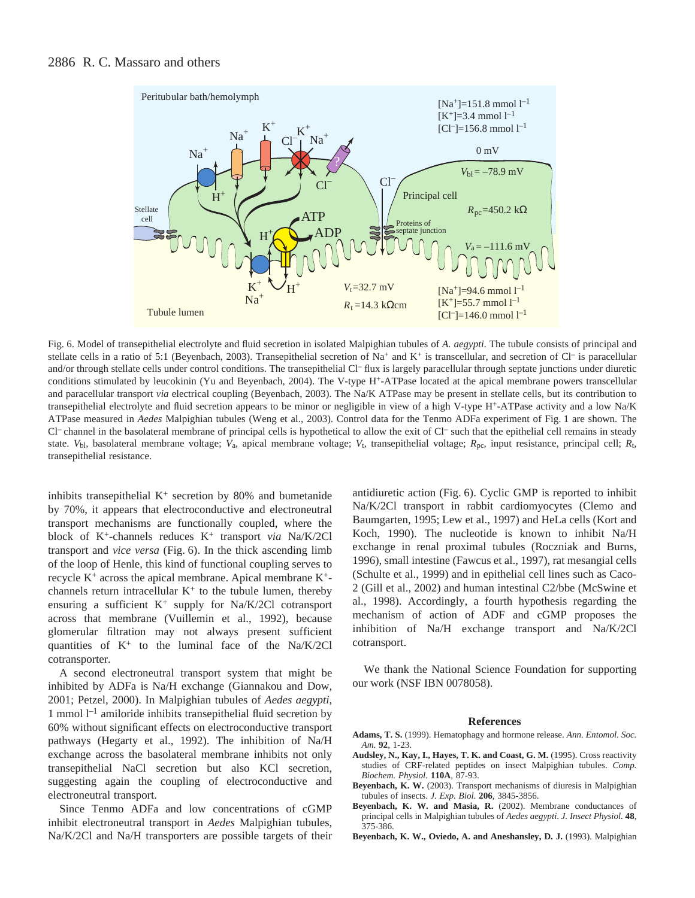

Fig. 6. Model of transepithelial electrolyte and fluid secretion in isolated Malpighian tubules of *A. aegypti*. The tubule consists of principal and stellate cells in a ratio of 5:1 (Beyenbach, 2003). Transepithelial secretion of Na+ and K+ is transcellular, and secretion of Cl- is paracellular and/or through stellate cells under control conditions. The transepithelial Cl– flux is largely paracellular through septate junctions under diuretic conditions stimulated by leucokinin (Yu and Beyenbach, 2004). The V-type H+-ATPase located at the apical membrane powers transcellular and paracellular transport *via* electrical coupling (Beyenbach, 2003). The Na/K ATPase may be present in stellate cells, but its contribution to transepithelial electrolyte and fluid secretion appears to be minor or negligible in view of a high V-type H+-ATPase activity and a low Na/K ATPase measured in *Aedes* Malpighian tubules (Weng et al., 2003). Control data for the Tenmo ADFa experiment of Fig. 1 are shown. The Cl– channel in the basolateral membrane of principal cells is hypothetical to allow the exit of Cl– such that the epithelial cell remains in steady state. *V*bl, basolateral membrane voltage; *V*a, apical membrane voltage; *V*t, transepithelial voltage; *R*pc, input resistance, principal cell; *R*t, transepithelial resistance.

inhibits transepithelial  $K^+$  secretion by 80% and bumetanide by 70%, it appears that electroconductive and electroneutral transport mechanisms are functionally coupled, where the block of K+-channels reduces K+ transport *via* Na/K/2Cl transport and *vice versa* (Fig. 6). In the thick ascending limb of the loop of Henle, this kind of functional coupling serves to recycle  $K^+$  across the apical membrane. Apical membrane  $K^+$ channels return intracellular  $K^+$  to the tubule lumen, thereby ensuring a sufficient  $K^+$  supply for Na/K/2Cl cotransport across that membrane (Vuillemin et al., 1992), because glomerular filtration may not always present sufficient quantities of  $K^+$  to the luminal face of the Na/K/2Cl cotransporter.

A second electroneutral transport system that might be inhibited by ADFa is Na/H exchange (Giannakou and Dow, 2001; Petzel, 2000). In Malpighian tubules of *Aedes aegypti*, 1 mmol  $l^{-1}$  amiloride inhibits transepithelial fluid secretion by 60% without significant effects on electroconductive transport pathways (Hegarty et al., 1992). The inhibition of Na/H exchange across the basolateral membrane inhibits not only transepithelial NaCl secretion but also KCl secretion, suggesting again the coupling of electroconductive and electroneutral transport.

Since Tenmo ADFa and low concentrations of cGMP inhibit electroneutral transport in *Aedes* Malpighian tubules, Na/K/2Cl and Na/H transporters are possible targets of their antidiuretic action (Fig. 6). Cyclic GMP is reported to inhibit Na/K/2Cl transport in rabbit cardiomyocytes (Clemo and Baumgarten, 1995; Lew et al., 1997) and HeLa cells (Kort and Koch, 1990). The nucleotide is known to inhibit Na/H exchange in renal proximal tubules (Roczniak and Burns, 1996), small intestine (Fawcus et al., 1997), rat mesangial cells (Schulte et al., 1999) and in epithelial cell lines such as Caco-2 (Gill et al., 2002) and human intestinal C2/bbe (McSwine et al., 1998). Accordingly, a fourth hypothesis regarding the mechanism of action of ADF and cGMP proposes the inhibition of Na/H exchange transport and Na/K/2Cl cotransport.

We thank the National Science Foundation for supporting our work (NSF IBN 0078058).

#### **References**

- **Adams, T. S.** (1999). Hematophagy and hormone release. *Ann. Entomol. Soc. Am.* **92**, 1-23.
- **Audsley, N., Kay, I., Hayes, T. K. and Coast, G. M.** (1995). Cross reactivity studies of CRF-related peptides on insect Malpighian tubules. *Comp. Biochem. Physiol.* **110A**, 87-93.
- **Beyenbach, K. W.** (2003). Transport mechanisms of diuresis in Malpighian tubules of insects. *J. Exp. Biol.* **206**, 3845-3856.
- **Beyenbach, K. W. and Masia, R.** (2002). Membrane conductances of principal cells in Malpighian tubules of *Aedes aegypti*. *J. Insect Physiol.* **48**, 375-386.
- **Beyenbach, K. W., Oviedo, A. and Aneshansley, D. J.** (1993). Malpighian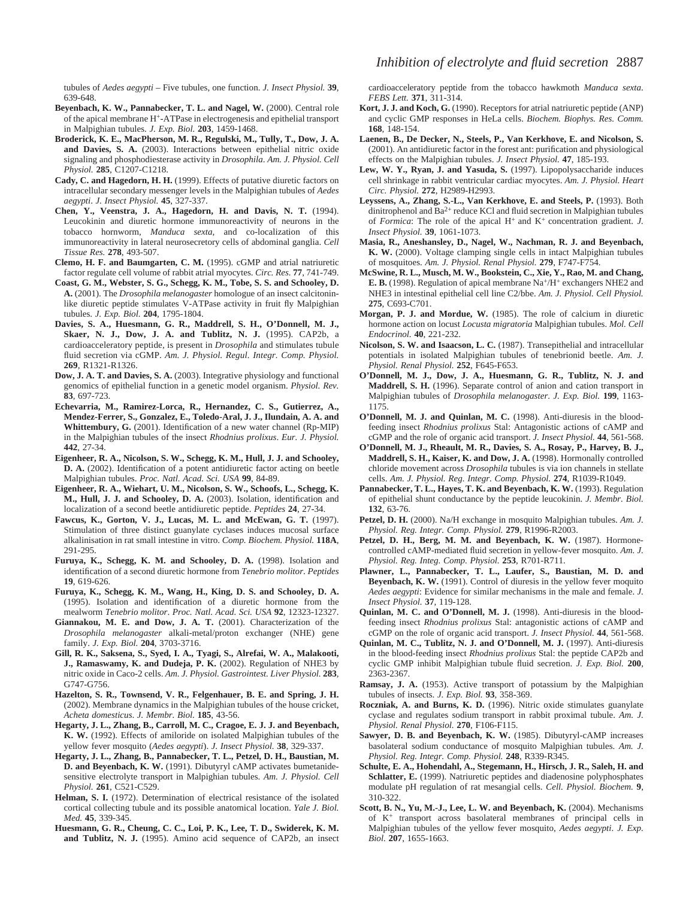- **Beyenbach, K. W., Pannabecker, T. L. and Nagel, W.** (2000). Central role of the apical membrane H+-ATPase in electrogenesis and epithelial transport in Malpighian tubules. *J. Exp. Biol.* **203**, 1459-1468.
- **Broderick, K. E., MacPherson, M. R., Regulski, M., Tully, T., Dow, J. A. and Davies, S. A.** (2003). Interactions between epithelial nitric oxide signaling and phosphodiesterase activity in *Drosophila*. *Am. J. Physiol. Cell Physiol.* **285**, C1207-C1218.
- **Cady, C. and Hagedorn, H. H.** (1999). Effects of putative diuretic factors on intracellular secondary messenger levels in the Malpighian tubules of *Aedes aegypti*. *J. Insect Physiol.* **45**, 327-337.
- **Chen, Y., Veenstra, J. A., Hagedorn, H. and Davis, N. T.** (1994). Leucokinin and diuretic hormone immunoreactivity of neurons in the tobacco hornworm, *Manduca sexta*, and co-localization of this immunoreactivity in lateral neurosecretory cells of abdominal ganglia. *Cell Tissue Res.* **278**, 493-507.
- **Clemo, H. F. and Baumgarten, C. M.** (1995). cGMP and atrial natriuretic factor regulate cell volume of rabbit atrial myocytes. *Circ. Res.* **77**, 741-749.
- **Coast, G. M., Webster, S. G., Schegg, K. M., Tobe, S. S. and Schooley, D. A.** (2001). The *Drosophila melanogaster* homologue of an insect calcitoninlike diuretic peptide stimulates V-ATPase activity in fruit fly Malpighian tubules. *J. Exp. Biol.* **204**, 1795-1804.
- **Davies, S. A., Huesmann, G. R., Maddrell, S. H., O'Donnell, M. J., Skaer, N. J., Dow, J. A. and Tublitz, N. J.** (1995). CAP2b, a cardioacceleratory peptide, is present in *Drosophila* and stimulates tubule fluid secretion via cGMP. *Am. J. Physiol. Regul. Integr. Comp. Physiol.* **269**, R1321-R1326.
- **Dow, J. A. T. and Davies, S. A.** (2003). Integrative physiology and functional genomics of epithelial function in a genetic model organism. *Physiol. Rev.* **83**, 697-723.
- **Echevarria, M., Ramirez-Lorca, R., Hernandez, C. S., Gutierrez, A., Mendez-Ferrer, S., Gonzalez, E., Toledo-Aral, J. J., Ilundain, A. A. and Whittembury, G.** (2001). Identification of a new water channel (Rp-MIP) in the Malpighian tubules of the insect *Rhodnius prolixus*. *Eur. J. Physiol.* **442**, 27-34.
- **Eigenheer, R. A., Nicolson, S. W., Schegg, K. M., Hull, J. J. and Schooley, D. A.** (2002). Identification of a potent antidiuretic factor acting on beetle Malpighian tubules. *Proc. Natl. Acad. Sci. USA* **99**, 84-89.
- **Eigenheer, R. A., Wiehart, U. M., Nicolson, S. W., Schoofs, L., Schegg, K. M., Hull, J. J. and Schooley, D. A.** (2003). Isolation, identification and localization of a second beetle antidiuretic peptide. *Peptides* **24**, 27-34.
- **Fawcus, K., Gorton, V. J., Lucas, M. L. and McEwan, G. T.** (1997). Stimulation of three distinct guanylate cyclases induces mucosal surface alkalinisation in rat small intestine in vitro. *Comp. Biochem. Physiol.* **118A**, 291-295.
- **Furuya, K., Schegg, K. M. and Schooley, D. A.** (1998). Isolation and identification of a second diuretic hormone from *Tenebrio molitor*. *Peptides* **19**, 619-626.
- **Furuya, K., Schegg, K. M., Wang, H., King, D. S. and Schooley, D. A.** (1995). Isolation and identification of a diuretic hormone from the mealworm *Tenebrio molitor*. *Proc. Natl. Acad. Sci. USA* **92**, 12323-12327.
- **Giannakou, M. E. and Dow, J. A. T.** (2001). Characterization of the *Drosophila melanogaster* alkali-metal/proton exchanger (NHE) gene family. *J. Exp. Biol.* **204**, 3703-3716.
- **Gill, R. K., Saksena, S., Syed, I. A., Tyagi, S., Alrefai, W. A., Malakooti, J., Ramaswamy, K. and Dudeja, P. K.** (2002). Regulation of NHE3 by nitric oxide in Caco-2 cells. *Am. J. Physiol. Gastrointest. Liver Physiol.* **283**, G747-G756.
- **Hazelton, S. R., Townsend, V. R., Felgenhauer, B. E. and Spring, J. H.** (2002). Membrane dynamics in the Malpighian tubules of the house cricket, *Acheta domesticus*. *J. Membr. Biol.* **185**, 43-56.
- **Hegarty, J. L., Zhang, B., Carroll, M. C., Cragoe, E. J. J. and Beyenbach, K. W.** (1992). Effects of amiloride on isolated Malpighian tubules of the yellow fever mosquito (*Aedes aegypti*). *J. Insect Physiol.* **38**, 329-337.
- **Hegarty, J. L., Zhang, B., Pannabecker, T. L., Petzel, D. H., Baustian, M. D. and Beyenbach, K. W.** (1991). Dibutyryl cAMP activates bumetanidesensitive electrolyte transport in Malpighian tubules. *Am. J. Physiol. Cell Physiol.* **261**, C521-C529.
- **Helman, S. I.** (1972). Determination of electrical resistance of the isolated cortical collecting tubule and its possible anatomical location. *Yale J. Biol. Med.* **45**, 339-345.
- **Huesmann, G. R., Cheung, C. C., Loi, P. K., Lee, T. D., Swiderek, K. M. and Tublitz, N. J.** (1995). Amino acid sequence of CAP2b, an insect

cardioacceleratory peptide from the tobacco hawkmoth *Manduca sexta*. *FEBS Lett.* **371**, 311-314.

- **Kort, J. J. and Koch, G.** (1990). Receptors for atrial natriuretic peptide (ANP) and cyclic GMP responses in HeLa cells. *Biochem. Biophys. Res. Comm.* **168**, 148-154.
- **Laenen, B., De Decker, N., Steels, P., Van Kerkhove, E. and Nicolson, S.** (2001). An antidiuretic factor in the forest ant: purification and physiological effects on the Malpighian tubules. *J. Insect Physiol.* **47**, 185-193.
- **Lew, W. Y., Ryan, J. and Yasuda, S.** (1997). Lipopolysaccharide induces cell shrinkage in rabbit ventricular cardiac myocytes. *Am. J. Physiol. Heart Circ. Physiol.* **272**, H2989-H2993.
- **Leyssens, A., Zhang, S.-L., Van Kerkhove, E. and Steels, P.** (1993). Both dinitrophenol and Ba<sup>2+</sup> reduce KCl and fluid secretion in Malpighian tubules of *Formica*: The role of the apical H+ and K+ concentration gradient. *J. Insect Physiol.* **39**, 1061-1073.
- **Masia, R., Aneshansley, D., Nagel, W., Nachman, R. J. and Beyenbach, K. W.** (2000). Voltage clamping single cells in intact Malpighian tubules of mosquitoes. *Am. J. Physiol. Renal Physiol.* **279**, F747-F754.
- **McSwine, R. L., Musch, M. W., Bookstein, C., Xie, Y., Rao, M. and Chang, E. B.** (1998). Regulation of apical membrane Na<sup>+</sup>/H<sup>+</sup> exchangers NHE2 and NHE3 in intestinal epithelial cell line C2/bbe. *Am. J. Physiol. Cell Physiol.* **275**, C693-C701.
- **Morgan, P. J. and Mordue, W.** (1985). The role of calcium in diuretic hormone action on locust *Locusta migratoria* Malpighian tubules. *Mol. Cell Endocrinol.* **40**, 221-232.
- **Nicolson, S. W. and Isaacson, L. C.** (1987). Transepithelial and intracellular potentials in isolated Malpighian tubules of tenebrionid beetle. *Am. J. Physiol. Renal Physiol.* **252**, F645-F653.
- **O'Donnell, M. J., Dow, J. A., Huesmann, G. R., Tublitz, N. J. and Maddrell, S. H.** (1996). Separate control of anion and cation transport in Malpighian tubules of *Drosophila melanogaster*. *J. Exp. Biol.* **199**, 1163- 1175.
- **O'Donnell, M. J. and Quinlan, M. C.** (1998). Anti-diuresis in the bloodfeeding insect *Rhodnius prolixus* Stal: Antagonistic actions of cAMP and cGMP and the role of organic acid transport. *J. Insect Physiol.* **44**, 561-568.
- **O'Donnell, M. J., Rheault, M. R., Davies, S. A., Rosay, P., Harvey, B. J., Maddrell, S. H., Kaiser, K. and Dow, J. A.** (1998). Hormonally controlled chloride movement across *Drosophila* tubules is via ion channels in stellate cells. *Am. J. Physiol. Reg. Integr. Comp. Physiol.* **274**, R1039-R1049.
- **Pannabecker, T. L., Hayes, T. K. and Beyenbach, K. W.** (1993). Regulation of epithelial shunt conductance by the peptide leucokinin. *J. Membr. Biol.* **132**, 63-76.
- **Petzel, D. H.** (2000). Na/H exchange in mosquito Malpighian tubules. *Am. J. Physiol. Reg. Integr. Comp. Physiol.* **279**, R1996-R2003.
- **Petzel, D. H., Berg, M. M. and Beyenbach, K. W.** (1987). Hormonecontrolled cAMP-mediated fluid secretion in yellow-fever mosquito. *Am. J. Physiol. Reg. Integ. Comp. Physiol.* **253**, R701-R711.
- **Plawner, L., Pannabecker, T. L., Laufer, S., Baustian, M. D. and Beyenbach, K. W.** (1991). Control of diuresis in the yellow fever moquito *Aedes aegypti*: Evidence for similar mechanisms in the male and female. *J. Insect Physiol.* **37**, 119-128.
- **Quinlan, M. C. and O'Donnell, M. J.** (1998). Anti-diuresis in the bloodfeeding insect *Rhodnius prolixus* Stal: antagonistic actions of cAMP and cGMP on the role of organic acid transport. *J. Insect Physiol.* **44**, 561-568.
- **Quinlan, M. C., Tublitz, N. J. and O'Donnell, M. J.** (1997). Anti-diuresis in the blood-feeding insect *Rhodnius prolixus* Stal: the peptide CAP2b and cyclic GMP inhibit Malpighian tubule fluid secretion. *J. Exp. Biol.* **200**, 2363-2367.
- **Ramsay, J. A.** (1953). Active transport of potassium by the Malpighian tubules of insects. *J. Exp. Biol.* **93**, 358-369.
- **Roczniak, A. and Burns, K. D.** (1996). Nitric oxide stimulates guanylate cyclase and regulates sodium transport in rabbit proximal tubule. *Am. J. Physiol. Renal Physiol.* **270**, F106-F115.
- **Sawyer, D. B. and Beyenbach, K. W.** (1985). Dibutyryl-cAMP increases basolateral sodium conductance of mosquito Malpighian tubules. *Am. J. Physiol. Reg. Integr. Comp. Physiol.* **248**, R339-R345.
- **Schulte, E. A., Hohendahl, A., Stegemann, H., Hirsch, J. R., Saleh, H. and Schlatter, E.** (1999). Natriuretic peptides and diadenosine polyphosphates modulate pH regulation of rat mesangial cells. *Cell. Physiol. Biochem.* **9**, 310-322.
- **Scott, B. N., Yu, M.-J., Lee, L. W. and Beyenbach, K.** (2004). Mechanisms of K<sup>+</sup> transport across basolateral membranes of principal cells in Malpighian tubules of the yellow fever mosquito, *Aedes aegypti*. *J. Exp. Biol.* **207**, 1655-1663.